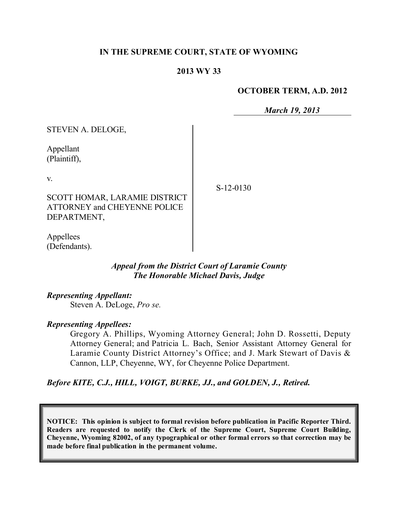### **IN THE SUPREME COURT, STATE OF WYOMING**

#### **2013 WY 33**

#### **OCTOBER TERM, A.D. 2012**

*March 19, 2013*

| STEVEN A. DELOGE,                                                                          |             |
|--------------------------------------------------------------------------------------------|-------------|
| Appellant<br>(Plaintiff),                                                                  |             |
| V.                                                                                         | $S-12-0130$ |
| <b>SCOTT HOMAR, LARAMIE DISTRICT</b><br><b>ATTORNEY and CHEYENNE POLICE</b><br>DEPARTMENT, |             |
| Appellees<br>(Defendants).                                                                 |             |

## *Appeal from the District Court of Laramie County The Honorable Michael Davis, Judge*

*Representing Appellant:*

Steven A. DeLoge, *Pro se.*

#### *Representing Appellees:*

Gregory A. Phillips, Wyoming Attorney General; John D. Rossetti, Deputy Attorney General; and Patricia L. Bach, Senior Assistant Attorney General for Laramie County District Attorney's Office; and J. Mark Stewart of Davis & Cannon, LLP, Cheyenne, WY, for Cheyenne Police Department.

*Before KITE, C.J., HILL, VOIGT, BURKE, JJ., and GOLDEN, J., Retired.*

**NOTICE: This opinion is subject to formal revision before publication in Pacific Reporter Third. Readers are requested to notify the Clerk of the Supreme Court, Supreme Court Building, Cheyenne, Wyoming 82002, of any typographical or other formal errors so that correction may be made before final publication in the permanent volume.**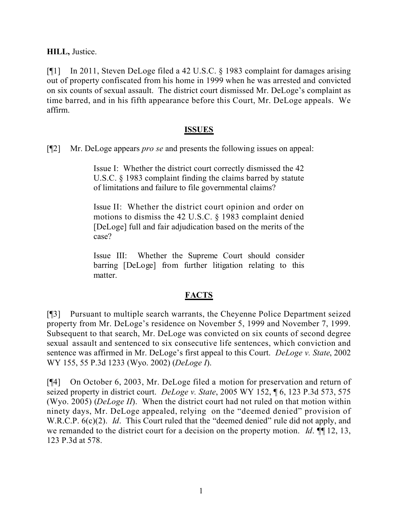**HILL,** Justice.

[¶1] In 2011, Steven DeLoge filed a 42 U.S.C. § 1983 complaint for damages arising out of property confiscated from his home in 1999 when he was arrested and convicted on six counts of sexual assault. The district court dismissed Mr. DeLoge's complaint as time barred, and in his fifth appearance before this Court, Mr. DeLoge appeals. We affirm.

### **ISSUES**

[¶2] Mr. DeLoge appears *pro se* and presents the following issues on appeal:

Issue I: Whether the district court correctly dismissed the 42 U.S.C. § 1983 complaint finding the claims barred by statute of limitations and failure to file governmental claims?

Issue II: Whether the district court opinion and order on motions to dismiss the 42 U.S.C. § 1983 complaint denied [DeLoge] full and fair adjudication based on the merits of the case?

Issue III: Whether the Supreme Court should consider barring [DeLoge] from further litigation relating to this matter.

### **FACTS**

[¶3] Pursuant to multiple search warrants, the Cheyenne Police Department seized property from Mr. DeLoge's residence on November 5, 1999 and November 7, 1999. Subsequent to that search, Mr. DeLoge was convicted on six counts of second degree sexual assault and sentenced to six consecutive life sentences, which conviction and sentence was affirmed in Mr. DeLoge's first appeal to this Court. *DeLoge v. State*, 2002 WY 155, 55 P.3d 1233 (Wyo. 2002) (*DeLoge I*).

[¶4] On October 6, 2003, Mr. DeLoge filed a motion for preservation and return of seized property in district court. *DeLoge v. State*, 2005 WY 152, ¶ 6, 123 P.3d 573, 575 (Wyo. 2005) (*DeLoge II*). When the district court had not ruled on that motion within ninety days, Mr. DeLoge appealed, relying on the "deemed denied" provision of W.R.C.P. 6(c)(2). *Id.* This Court ruled that the "deemed denied" rule did not apply, and we remanded to the district court for a decision on the property motion. *Id.* ¶[12, 13, 123 P.3d at 578.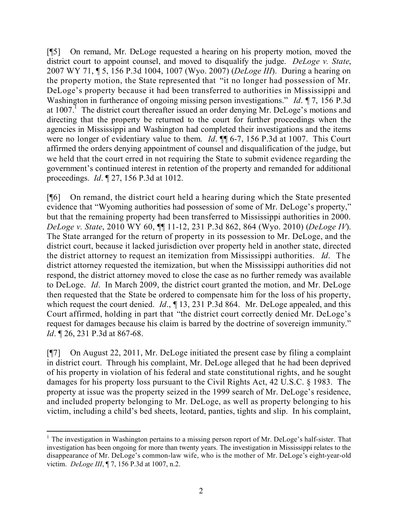[¶5] On remand, Mr. DeLoge requested a hearing on his property motion, moved the district court to appoint counsel, and moved to disqualify the judge. *DeLoge v. State*, 2007 WY 71, ¶ 5, 156 P.3d 1004, 1007 (Wyo. 2007) (*DeLoge III*). During a hearing on the property motion, the State represented that "it no longer had possession of Mr. DeLoge's property because it had been transferred to authorities in Mississippi and Washington in furtherance of ongoing missing person investigations." *Id*. ¶ 7, 156 P.3d at 1007.<sup>1</sup> The district court thereafter issued an order denying Mr. DeLoge's motions and directing that the property be returned to the court for further proceedings when the agencies in Mississippi and Washington had completed their investigations and the items were no longer of evidentiary value to them. *Id*. ¶¶ 6-7, 156 P.3d at 1007. This Court affirmed the orders denying appointment of counsel and disqualification of the judge, but we held that the court erred in not requiring the State to submit evidence regarding the government's continued interest in retention of the property and remanded for additional proceedings. *Id*. ¶ 27, 156 P.3d at 1012.

[¶6] On remand, the district court held a hearing during which the State presented evidence that "Wyoming authorities had possession of some of Mr. DeLoge's property," but that the remaining property had been transferred to Mississippi authorities in 2000. *DeLoge v. State*, 2010 WY 60, ¶¶ 11-12, 231 P.3d 862, 864 (Wyo. 2010) (*DeLoge IV*). The State arranged for the return of property in its possession to Mr. DeLoge, and the district court, because it lacked jurisdiction over property held in another state, directed the district attorney to request an itemization from Mississippi authorities. *Id*. The district attorney requested the itemization, but when the Mississippi authorities did not respond, the district attorney moved to close the case as no further remedy was available to DeLoge. *Id*. In March 2009, the district court granted the motion, and Mr. DeLoge then requested that the State be ordered to compensate him for the loss of his property, which request the court denied. *Id.*, 13, 231 P.3d 864. Mr. DeLoge appealed, and this Court affirmed, holding in part that "the district court correctly denied Mr. DeLoge's request for damages because his claim is barred by the doctrine of sovereign immunity." *Id.* **[26, 231 P.3d at 867-68.** 

[¶7] On August 22, 2011, Mr. DeLoge initiated the present case by filing a complaint in district court. Through his complaint, Mr. DeLoge alleged that he had been deprived of his property in violation of his federal and state constitutional rights, and he sought damages for his property loss pursuant to the Civil Rights Act, 42 U.S.C. § 1983. The property at issue was the property seized in the 1999 search of Mr. DeLoge's residence, and included property belonging to Mr. DeLoge, as well as property belonging to his victim, including a child's bed sheets, leotard, panties, tights and slip. In his complaint,

 $\overline{a}$  $<sup>1</sup>$  The investigation in Washington pertains to a missing person report of Mr. DeLoge's half-sister. That</sup> investigation has been ongoing for more than twenty years. The investigation in Mississippi relates to the disappearance of Mr. DeLoge's common-law wife, who is the mother of Mr. DeLoge's eight-year-old victim. *DeLoge III*, ¶ 7, 156 P.3d at 1007, n.2.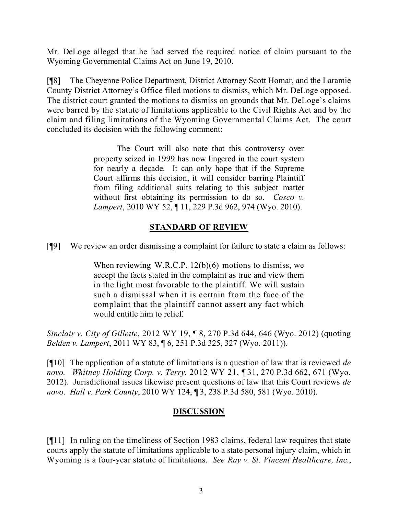Mr. DeLoge alleged that he had served the required notice of claim pursuant to the Wyoming Governmental Claims Act on June 19, 2010.

[¶8] The Cheyenne Police Department, District Attorney Scott Homar, and the Laramie County District Attorney's Office filed motions to dismiss, which Mr. DeLoge opposed. The district court granted the motions to dismiss on grounds that Mr. DeLoge's claims were barred by the statute of limitations applicable to the Civil Rights Act and by the claim and filing limitations of the Wyoming Governmental Claims Act. The court concluded its decision with the following comment:

> The Court will also note that this controversy over property seized in 1999 has now lingered in the court system for nearly a decade. It can only hope that if the Supreme Court affirms this decision, it will consider barring Plaintiff from filing additional suits relating to this subject matter without first obtaining its permission to do so. *Cosco v. Lampert*, 2010 WY 52, ¶ 11, 229 P.3d 962, 974 (Wyo. 2010).

## **STANDARD OF REVIEW**

[¶9] We review an order dismissing a complaint for failure to state a claim as follows:

When reviewing W.R.C.P.  $12(b)(6)$  motions to dismiss, we accept the facts stated in the complaint as true and view them in the light most favorable to the plaintiff. We will sustain such a dismissal when it is certain from the face of the complaint that the plaintiff cannot assert any fact which would entitle him to relief.

*Sinclair v. City of Gillette*, 2012 WY 19, ¶ 8, 270 P.3d 644, 646 (Wyo. 2012) (quoting *Belden v. Lampert*, 2011 WY 83, ¶ 6, 251 P.3d 325, 327 (Wyo. 2011)).

[¶10] The application of a statute of limitations is a question of law that is reviewed *de novo. Whitney Holding Corp. v. Terry*, 2012 WY 21, ¶ 31, 270 P.3d 662, 671 (Wyo. 2012). Jurisdictional issues likewise present questions of law that this Court reviews *de novo*. *Hall v. Park County*, 2010 WY 124, ¶ 3, 238 P.3d 580, 581 (Wyo. 2010).

# **DISCUSSION**

[¶11] In ruling on the timeliness of Section 1983 claims, federal law requires that state courts apply the statute of limitations applicable to a state personal injury claim, which in Wyoming is a four-year statute of limitations. *See Ray v. St. Vincent Healthcare, Inc.*,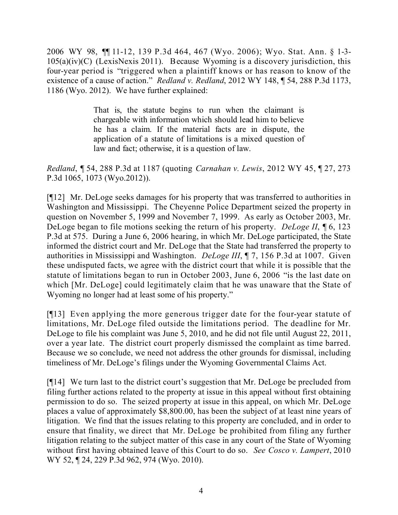2006 WY 98, ¶¶ 11-12, 139 P.3d 464, 467 (Wyo. 2006); Wyo. Stat. Ann. § 1-3-  $105(a)(iv)(C)$  (LexisNexis 2011). Because Wyoming is a discovery jurisdiction, this four-year period is "triggered when a plaintiff knows or has reason to know of the existence of a cause of action." *Redland v. Redland*, 2012 WY 148, ¶ 54, 288 P.3d 1173, 1186 (Wyo. 2012). We have further explained:

> That is, the statute begins to run when the claimant is chargeable with information which should lead him to believe he has a claim. If the material facts are in dispute, the application of a statute of limitations is a mixed question of law and fact; otherwise, it is a question of law.

*Redland*, ¶ 54, 288 P.3d at 1187 (quoting *Carnahan v. Lewis*, 2012 WY 45, ¶ 27, 273 P.3d 1065, 1073 (Wyo.2012)).

[¶12] Mr. DeLoge seeks damages for his property that was transferred to authorities in Washington and Mississippi. The Cheyenne Police Department seized the property in question on November 5, 1999 and November 7, 1999. As early as October 2003, Mr. DeLoge began to file motions seeking the return of his property. *DeLoge II*, ¶ 6, 123 P.3d at 575. During a June 6, 2006 hearing, in which Mr. DeLoge participated, the State informed the district court and Mr. DeLoge that the State had transferred the property to authorities in Mississippi and Washington. *DeLoge III*, ¶ 7, 156 P.3d at 1007. Given these undisputed facts, we agree with the district court that while it is possible that the statute of limitations began to run in October 2003, June 6, 2006 "is the last date on which [Mr. DeLoge] could legitimately claim that he was unaware that the State of Wyoming no longer had at least some of his property."

[¶13] Even applying the more generous trigger date for the four-year statute of limitations, Mr. DeLoge filed outside the limitations period. The deadline for Mr. DeLoge to file his complaint was June 5, 2010, and he did not file until August 22, 2011, over a year late. The district court properly dismissed the complaint as time barred. Because we so conclude, we need not address the other grounds for dismissal, including timeliness of Mr. DeLoge's filings under the Wyoming Governmental Claims Act.

[¶14] We turn last to the district court's suggestion that Mr. DeLoge be precluded from filing further actions related to the property at issue in this appeal without first obtaining permission to do so. The seized property at issue in this appeal, on which Mr. DeLoge places a value of approximately \$8,800.00, has been the subject of at least nine years of litigation. We find that the issues relating to this property are concluded, and in order to ensure that finality, we direct that Mr. DeLoge be prohibited from filing any further litigation relating to the subject matter of this case in any court of the State of Wyoming without first having obtained leave of this Court to do so. *See Cosco v. Lampert*, 2010 WY 52, ¶ 24, 229 P.3d 962, 974 (Wyo. 2010).